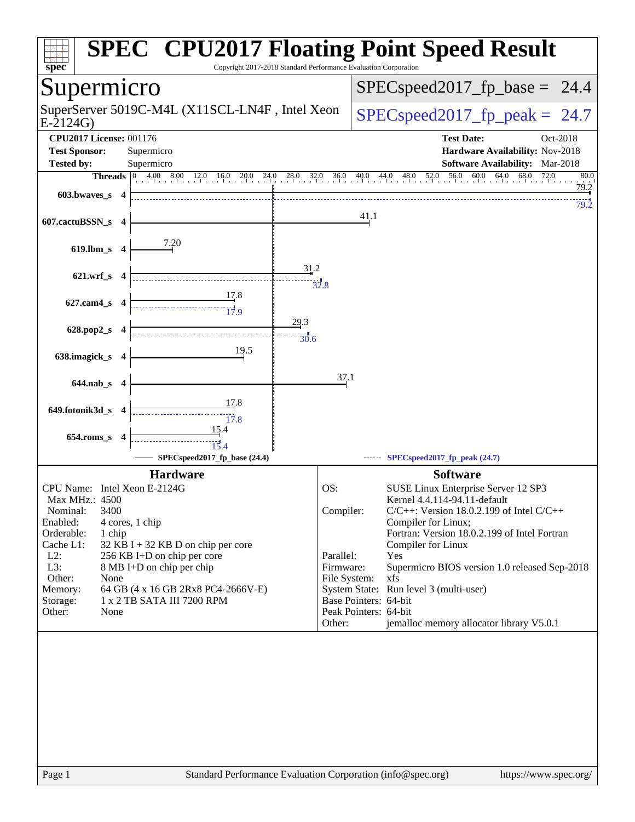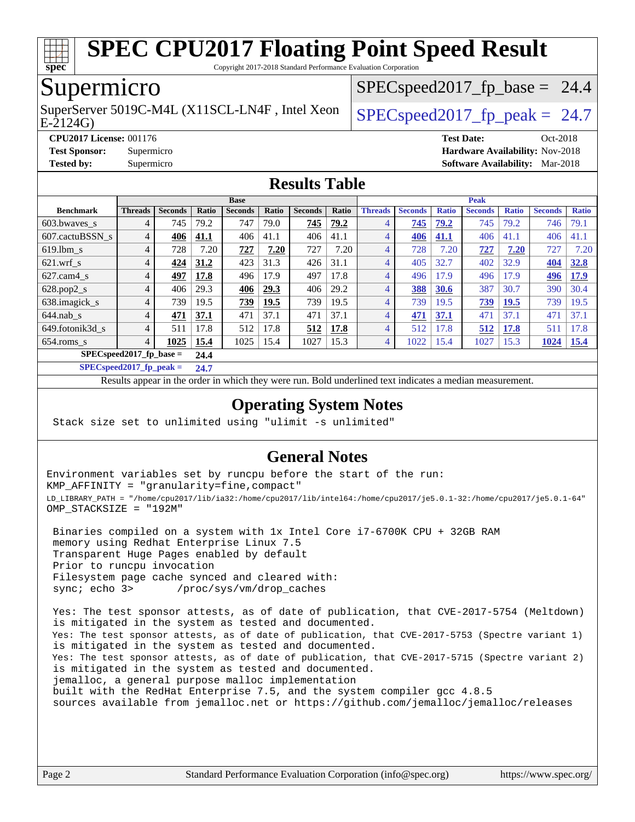

Copyright 2017-2018 Standard Performance Evaluation Corporation

# Supermicro

E-2124G) SuperServer 5019C-M4L (X11SCL-LN4F, Intel Xeon  $\big|$  SPECspeed2017 fp\_peak = 24.7

 $SPECspeed2017<sub>fp</sub> base = 24.4$ 

**[CPU2017 License:](http://www.spec.org/auto/cpu2017/Docs/result-fields.html#CPU2017License)** 001176 **[Test Date:](http://www.spec.org/auto/cpu2017/Docs/result-fields.html#TestDate)** Oct-2018 **[Test Sponsor:](http://www.spec.org/auto/cpu2017/Docs/result-fields.html#TestSponsor)** Supermicro **[Hardware Availability:](http://www.spec.org/auto/cpu2017/Docs/result-fields.html#HardwareAvailability)** Nov-2018 **[Tested by:](http://www.spec.org/auto/cpu2017/Docs/result-fields.html#Testedby)** Supermicro **[Software Availability:](http://www.spec.org/auto/cpu2017/Docs/result-fields.html#SoftwareAvailability)** Mar-2018

#### **[Results Table](http://www.spec.org/auto/cpu2017/Docs/result-fields.html#ResultsTable)**

|                                   | <b>Base</b>    |                |              |                |       | <b>Peak</b>    |       |                |                |              |                |              |                 |              |
|-----------------------------------|----------------|----------------|--------------|----------------|-------|----------------|-------|----------------|----------------|--------------|----------------|--------------|-----------------|--------------|
| <b>Benchmark</b>                  | <b>Threads</b> | <b>Seconds</b> | <b>Ratio</b> | <b>Seconds</b> | Ratio | <b>Seconds</b> | Ratio | <b>Threads</b> | <b>Seconds</b> | <b>Ratio</b> | <b>Seconds</b> | <b>Ratio</b> | <b>Seconds</b>  | <b>Ratio</b> |
| $603.bwaves$ s                    | 4              | 745            | 79.2         | 747            | 79.0  | 745            | 79.2  | $\overline{4}$ | 745            | 79.2         | 745            | 79.2         | 746             | 79.1         |
| 607.cactuBSSN s                   | 4              | 406            | 41.1         | 406            | 41.1  | 406            | 41.1  | 4              | 406            | 41.1         | 406            | 41.1         | 406             | 41.1         |
| $619.1$ bm s                      | 4              | 728            | 7.20         | 727            | 7.20  | 727            | 7.20  | 4              | 728            | 7.20         | 727            | 7.20         | 727             | 7.20         |
| $621.wrf$ s                       | 4              | 424            | 31.2         | 423            | 31.3  | 426            | 31.1  | 4              | 405            | 32.7         | 402            | 32.9         | 404             | 32.8         |
| $627$ .cam $4 \text{ s}$          | 4              | 497            | 17.8         | 496            | 17.9  | 497            | 17.8  | 4              | 496            | 17.9         | 496            | 17.9         | 496             | 17.9         |
| $628.pop2_s$                      | 4              | 406            | 29.3         | 406            | 29.3  | 406            | 29.2  | 4              | 388            | 30.6         | 387            | 30.7         | 390             | 30.4         |
| 638.imagick_s                     | $\overline{4}$ | 739            | 19.5         | 739            | 19.5  | 739            | 19.5  | 4              | 739            | 19.5         | 739            | <b>19.5</b>  | 739             | 19.5         |
| $644$ .nab s                      | $\overline{4}$ | 471            | 37.1         | 471            | 37.1  | 471            | 37.1  | 4              | 471            | 37.1         | 471            | 37.1         | 47 <sup>°</sup> | 37.1         |
| 649.fotonik3d s                   | 4              | 511            | 17.8         | 512            | 17.8  | 512            | 17.8  | 4              | 512            | 17.8         | 512            | 17.8         | 511             | 17.8         |
| $654$ .roms s                     | $\overline{4}$ | 1025           | 15.4         | 1025           | 15.4  | 1027           | 15.3  | 4              | 1022           | 15.4         | 1027           | 15.3         | 1024            | 15.4         |
| $SPECspeed2017$ fp base =<br>24.4 |                |                |              |                |       |                |       |                |                |              |                |              |                 |              |

**[SPECspeed2017\\_fp\\_peak =](http://www.spec.org/auto/cpu2017/Docs/result-fields.html#SPECspeed2017fppeak) 24.7**

Results appear in the [order in which they were run.](http://www.spec.org/auto/cpu2017/Docs/result-fields.html#RunOrder) Bold underlined text [indicates a median measurement](http://www.spec.org/auto/cpu2017/Docs/result-fields.html#Median).

### **[Operating System Notes](http://www.spec.org/auto/cpu2017/Docs/result-fields.html#OperatingSystemNotes)**

Stack size set to unlimited using "ulimit -s unlimited"

### **[General Notes](http://www.spec.org/auto/cpu2017/Docs/result-fields.html#GeneralNotes)**

Environment variables set by runcpu before the start of the run: KMP\_AFFINITY = "granularity=fine,compact" LD\_LIBRARY\_PATH = "/home/cpu2017/lib/ia32:/home/cpu2017/lib/intel64:/home/cpu2017/je5.0.1-32:/home/cpu2017/je5.0.1-64" OMP\_STACKSIZE = "192M"

 Binaries compiled on a system with 1x Intel Core i7-6700K CPU + 32GB RAM memory using Redhat Enterprise Linux 7.5 Transparent Huge Pages enabled by default Prior to runcpu invocation Filesystem page cache synced and cleared with: sync; echo 3> /proc/sys/vm/drop\_caches

 Yes: The test sponsor attests, as of date of publication, that CVE-2017-5754 (Meltdown) is mitigated in the system as tested and documented. Yes: The test sponsor attests, as of date of publication, that CVE-2017-5753 (Spectre variant 1) is mitigated in the system as tested and documented. Yes: The test sponsor attests, as of date of publication, that CVE-2017-5715 (Spectre variant 2) is mitigated in the system as tested and documented. jemalloc, a general purpose malloc implementation built with the RedHat Enterprise 7.5, and the system compiler gcc 4.8.5 sources available from jemalloc.net or <https://github.com/jemalloc/jemalloc/releases>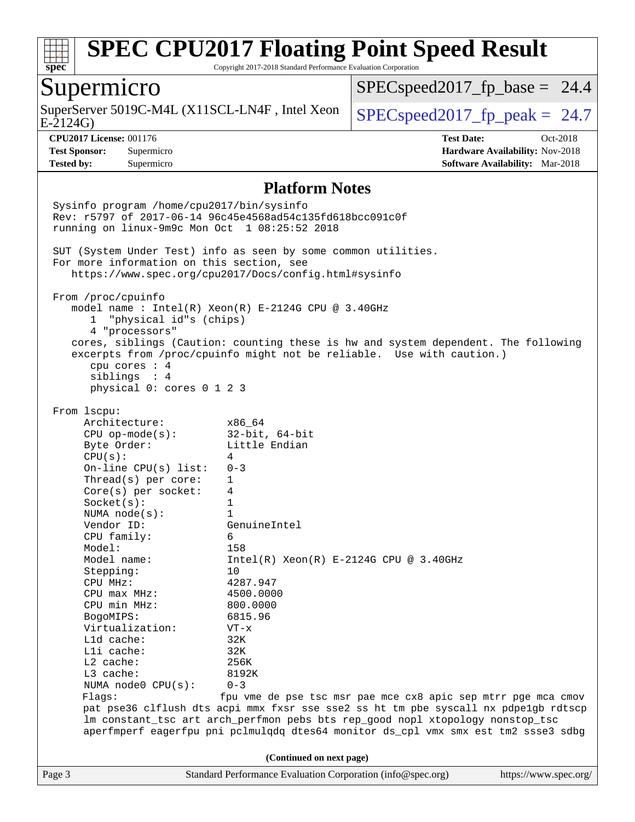

Copyright 2017-2018 Standard Performance Evaluation Corporation

### Supermicro

SuperServer 5019C-M4L (X11SCL-LN4F, Intel Xeon  $\Big|$  [SPECspeed2017\\_fp\\_peak =](http://www.spec.org/auto/cpu2017/Docs/result-fields.html#SPECspeed2017fppeak) 24.7

 $SPECspeed2017<sub>fp</sub> base = 24.4$ 

E-2124G)

**[CPU2017 License:](http://www.spec.org/auto/cpu2017/Docs/result-fields.html#CPU2017License)** 001176 **[Test Date:](http://www.spec.org/auto/cpu2017/Docs/result-fields.html#TestDate)** Oct-2018 **[Test Sponsor:](http://www.spec.org/auto/cpu2017/Docs/result-fields.html#TestSponsor)** Supermicro **[Hardware Availability:](http://www.spec.org/auto/cpu2017/Docs/result-fields.html#HardwareAvailability)** Nov-2018 **[Tested by:](http://www.spec.org/auto/cpu2017/Docs/result-fields.html#Testedby)** Supermicro **[Software Availability:](http://www.spec.org/auto/cpu2017/Docs/result-fields.html#SoftwareAvailability)** Mar-2018

#### **[Platform Notes](http://www.spec.org/auto/cpu2017/Docs/result-fields.html#PlatformNotes)**

Page 3 Standard Performance Evaluation Corporation [\(info@spec.org\)](mailto:info@spec.org) <https://www.spec.org/> Sysinfo program /home/cpu2017/bin/sysinfo Rev: r5797 of 2017-06-14 96c45e4568ad54c135fd618bcc091c0f running on linux-9m9c Mon Oct 1 08:25:52 2018 SUT (System Under Test) info as seen by some common utilities. For more information on this section, see <https://www.spec.org/cpu2017/Docs/config.html#sysinfo> From /proc/cpuinfo model name : Intel(R) Xeon(R) E-2124G CPU @ 3.40GHz 1 "physical id"s (chips) 4 "processors" cores, siblings (Caution: counting these is hw and system dependent. The following excerpts from /proc/cpuinfo might not be reliable. Use with caution.) cpu cores : 4 siblings : 4 physical 0: cores 0 1 2 3 From lscpu: Architecture: x86\_64 CPU op-mode(s): 32-bit, 64-bit Byte Order: Little Endian  $CPU(s):$  4 On-line CPU(s) list: 0-3 Thread(s) per core: 1 Core(s) per socket: 4 Socket(s): 1 NUMA node(s): 1 Vendor ID: GenuineIntel CPU family: 6 Model: 158<br>Model name: 1158  $Intel(R)$  Xeon(R) E-2124G CPU @ 3.40GHz Stepping: 10 CPU MHz: 4287.947 CPU max MHz: 4500.0000 CPU min MHz: 800.0000 BogoMIPS: 6815.96 Virtualization: VT-x L1d cache: 32K L1i cache: 32K L2 cache: 256K L3 cache: 8192K NUMA node0 CPU(s): 0-3 Flags: fpu vme de pse tsc msr pae mce cx8 apic sep mtrr pge mca cmov pat pse36 clflush dts acpi mmx fxsr sse sse2 ss ht tm pbe syscall nx pdpe1gb rdtscp lm constant\_tsc art arch\_perfmon pebs bts rep\_good nopl xtopology nonstop\_tsc aperfmperf eagerfpu pni pclmulqdq dtes64 monitor ds\_cpl vmx smx est tm2 ssse3 sdbg **(Continued on next page)**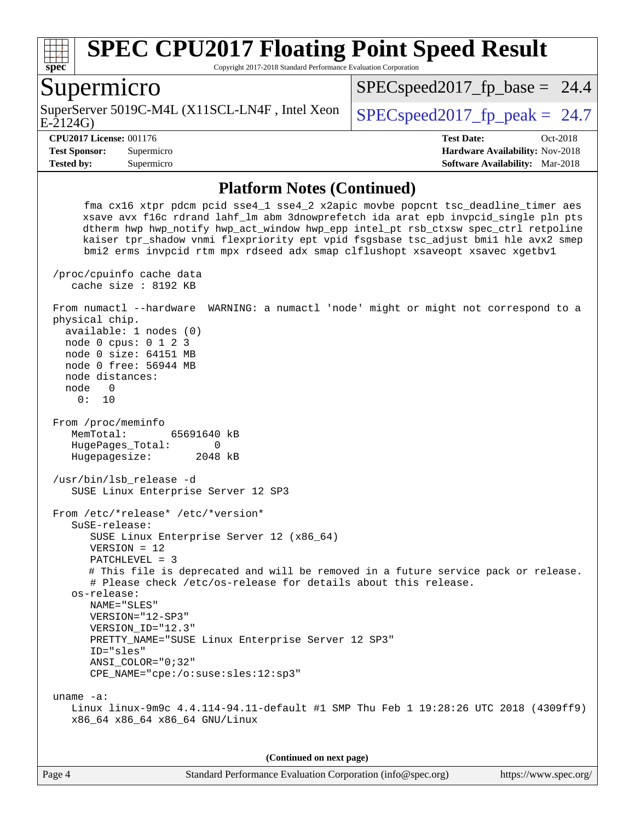

Copyright 2017-2018 Standard Performance Evaluation Corporation

### Supermicro

E-2124G) SuperServer 5019C-M4L (X11SCL-LN4F, Intel Xeon  $\big|$  SPECspeed2017 fp\_peak = 24.7

 $SPECspeed2017<sub>fp</sub> base = 24.4$ 

**[Tested by:](http://www.spec.org/auto/cpu2017/Docs/result-fields.html#Testedby)** Supermicro **[Software Availability:](http://www.spec.org/auto/cpu2017/Docs/result-fields.html#SoftwareAvailability)** Mar-2018

**[CPU2017 License:](http://www.spec.org/auto/cpu2017/Docs/result-fields.html#CPU2017License)** 001176 **[Test Date:](http://www.spec.org/auto/cpu2017/Docs/result-fields.html#TestDate)** Oct-2018 **[Test Sponsor:](http://www.spec.org/auto/cpu2017/Docs/result-fields.html#TestSponsor)** Supermicro **[Hardware Availability:](http://www.spec.org/auto/cpu2017/Docs/result-fields.html#HardwareAvailability)** Nov-2018

#### **[Platform Notes \(Continued\)](http://www.spec.org/auto/cpu2017/Docs/result-fields.html#PlatformNotes)**

 fma cx16 xtpr pdcm pcid sse4\_1 sse4\_2 x2apic movbe popcnt tsc\_deadline\_timer aes xsave avx f16c rdrand lahf\_lm abm 3dnowprefetch ida arat epb invpcid\_single pln pts dtherm hwp hwp\_notify hwp\_act\_window hwp\_epp intel\_pt rsb\_ctxsw spec\_ctrl retpoline kaiser tpr\_shadow vnmi flexpriority ept vpid fsgsbase tsc\_adjust bmi1 hle avx2 smep bmi2 erms invpcid rtm mpx rdseed adx smap clflushopt xsaveopt xsavec xgetbv1 /proc/cpuinfo cache data cache size : 8192 KB From numactl --hardware WARNING: a numactl 'node' might or might not correspond to a physical chip. available: 1 nodes (0) node 0 cpus: 0 1 2 3 node 0 size: 64151 MB node 0 free: 56944 MB node distances: node 0 0: 10 From /proc/meminfo MemTotal: 65691640 kB HugePages\_Total: 0 Hugepagesize: 2048 kB /usr/bin/lsb\_release -d SUSE Linux Enterprise Server 12 SP3 From /etc/\*release\* /etc/\*version\* SuSE-release: SUSE Linux Enterprise Server 12 (x86\_64) VERSION = 12 PATCHLEVEL = 3 # This file is deprecated and will be removed in a future service pack or release. # Please check /etc/os-release for details about this release. os-release: NAME="SLES" VERSION="12-SP3" VERSION\_ID="12.3" PRETTY\_NAME="SUSE Linux Enterprise Server 12 SP3" ID="sles" ANSI\_COLOR="0;32" CPE\_NAME="cpe:/o:suse:sles:12:sp3" uname -a: Linux linux-9m9c 4.4.114-94.11-default #1 SMP Thu Feb 1 19:28:26 UTC 2018 (4309ff9) x86\_64 x86\_64 x86\_64 GNU/Linux

**(Continued on next page)**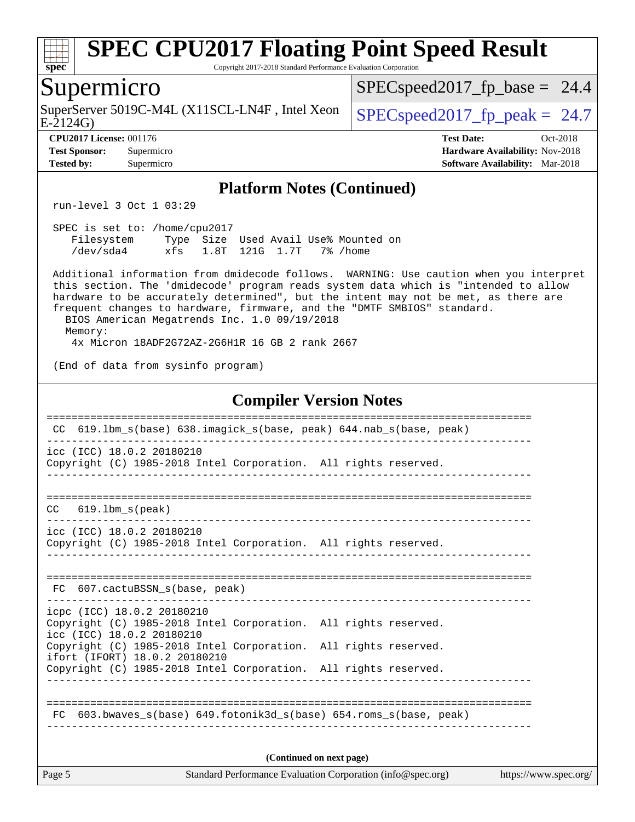

SuperServer 5019C-M4L (X11SCL-LN4F, Intel Xeon<br>E-2124G)

 $SPECspeed2017_fp\_peak = 24.7$ 

**[CPU2017 License:](http://www.spec.org/auto/cpu2017/Docs/result-fields.html#CPU2017License)** 001176 **[Test Date:](http://www.spec.org/auto/cpu2017/Docs/result-fields.html#TestDate)** Oct-2018 **[Test Sponsor:](http://www.spec.org/auto/cpu2017/Docs/result-fields.html#TestSponsor)** Supermicro **[Hardware Availability:](http://www.spec.org/auto/cpu2017/Docs/result-fields.html#HardwareAvailability)** Nov-2018 **[Tested by:](http://www.spec.org/auto/cpu2017/Docs/result-fields.html#Testedby)** Supermicro **[Software Availability:](http://www.spec.org/auto/cpu2017/Docs/result-fields.html#SoftwareAvailability)** Mar-2018

#### **[Platform Notes \(Continued\)](http://www.spec.org/auto/cpu2017/Docs/result-fields.html#PlatformNotes)**

run-level 3 Oct 1 03:29

 SPEC is set to: /home/cpu2017 Filesystem Type Size Used Avail Use% Mounted on /dev/sda4 xfs 1.8T 121G 1.7T 7% /home

 Additional information from dmidecode follows. WARNING: Use caution when you interpret this section. The 'dmidecode' program reads system data which is "intended to allow hardware to be accurately determined", but the intent may not be met, as there are frequent changes to hardware, firmware, and the "DMTF SMBIOS" standard. BIOS American Megatrends Inc. 1.0 09/19/2018

 Memory: 4x Micron 18ADF2G72AZ-2G6H1R 16 GB 2 rank 2667

(End of data from sysinfo program)

#### **[Compiler Version Notes](http://www.spec.org/auto/cpu2017/Docs/result-fields.html#CompilerVersionNotes)**

| CC.                                                     |                                                                                                  | 619.1bm_s(base) 638.imagick_s(base, peak) 644.nab_s(base, peak)    |                       |  |  |  |
|---------------------------------------------------------|--------------------------------------------------------------------------------------------------|--------------------------------------------------------------------|-----------------------|--|--|--|
| icc (ICC) 18.0.2 20180210                               | Copyright (C) 1985-2018 Intel Corporation. All rights reserved.                                  |                                                                    |                       |  |  |  |
| 619.1bm s(peak)<br>CC.                                  |                                                                                                  |                                                                    |                       |  |  |  |
| icc (ICC) 18.0.2 20180210                               | Copyright (C) 1985-2018 Intel Corporation. All rights reserved.                                  |                                                                    |                       |  |  |  |
| FC 607.cactuBSSN_s(base, peak)                          |                                                                                                  |                                                                    |                       |  |  |  |
| icpc (ICC) 18.0.2 20180210<br>icc (ICC) 18.0.2 20180210 | Copyright (C) 1985-2018 Intel Corporation. All rights reserved.                                  |                                                                    |                       |  |  |  |
| ifort (IFORT) 18.0.2 20180210                           | Copyright (C) 1985-2018 Intel Corporation. All rights reserved.                                  |                                                                    |                       |  |  |  |
|                                                         | Copyright (C) 1985-2018 Intel Corporation. All rights reserved.<br>_____________________________ |                                                                    |                       |  |  |  |
|                                                         |                                                                                                  | FC 603.bwaves_s(base) 649.fotonik3d_s(base) 654.roms_s(base, peak) |                       |  |  |  |
| (Continued on next page)                                |                                                                                                  |                                                                    |                       |  |  |  |
| Page 5                                                  |                                                                                                  | Standard Performance Evaluation Corporation (info@spec.org)        | https://www.spec.org/ |  |  |  |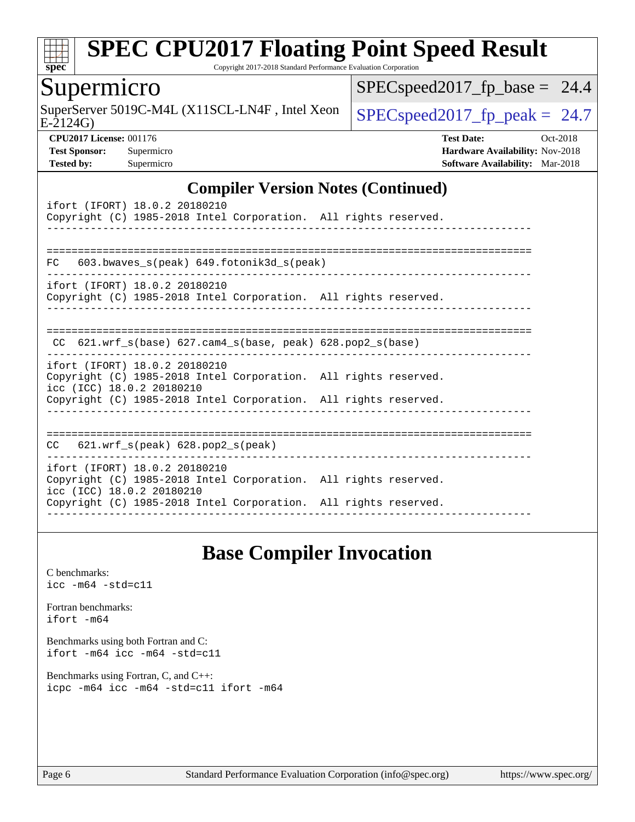

Copyright 2017-2018 Standard Performance Evaluation Corporation

### Supermicro

E-2124G) SuperServer 5019C-M4L (X11SCL-LN4F, Intel Xeon  $\big|$  [SPECspeed2017\\_fp\\_peak =](http://www.spec.org/auto/cpu2017/Docs/result-fields.html#SPECspeed2017fppeak) 24.7

 $SPEC speed2017_fp\_base = 24.4$ 

**[CPU2017 License:](http://www.spec.org/auto/cpu2017/Docs/result-fields.html#CPU2017License)** 001176 **[Test Date:](http://www.spec.org/auto/cpu2017/Docs/result-fields.html#TestDate)** Oct-2018 **[Test Sponsor:](http://www.spec.org/auto/cpu2017/Docs/result-fields.html#TestSponsor)** Supermicro **[Hardware Availability:](http://www.spec.org/auto/cpu2017/Docs/result-fields.html#HardwareAvailability)** Nov-2018 **[Tested by:](http://www.spec.org/auto/cpu2017/Docs/result-fields.html#Testedby)** Supermicro **[Software Availability:](http://www.spec.org/auto/cpu2017/Docs/result-fields.html#SoftwareAvailability)** Mar-2018

#### **[Compiler Version Notes \(Continued\)](http://www.spec.org/auto/cpu2017/Docs/result-fields.html#CompilerVersionNotes)**

| ifort (IFORT) 18.0.2 20180210<br>Copyright (C) 1985-2018 Intel Corporation. All rights reserved.                                                                                                 |  |  |  |  |  |  |  |
|--------------------------------------------------------------------------------------------------------------------------------------------------------------------------------------------------|--|--|--|--|--|--|--|
| 603.bwaves_s(peak) 649.fotonik3d_s(peak)<br>FC                                                                                                                                                   |  |  |  |  |  |  |  |
| ifort (IFORT) 18.0.2 20180210<br>Copyright (C) 1985-2018 Intel Corporation. All rights reserved.                                                                                                 |  |  |  |  |  |  |  |
| $CC$ 621.wrf_s(base) 627.cam4_s(base, peak) 628.pop2_s(base)                                                                                                                                     |  |  |  |  |  |  |  |
| ifort (IFORT) 18.0.2 20180210<br>Copyright (C) 1985-2018 Intel Corporation. All rights reserved.<br>icc (ICC) 18.0.2 20180210<br>Copyright (C) 1985-2018 Intel Corporation. All rights reserved. |  |  |  |  |  |  |  |
| $CC$ 621.wrf $s$ (peak) 628.pop2 $s$ (peak)                                                                                                                                                      |  |  |  |  |  |  |  |
| ifort (IFORT) 18.0.2 20180210<br>Copyright (C) 1985-2018 Intel Corporation. All rights reserved.<br>icc (ICC) 18.0.2 20180210<br>Copyright (C) 1985-2018 Intel Corporation. All rights reserved. |  |  |  |  |  |  |  |

# **[Base Compiler Invocation](http://www.spec.org/auto/cpu2017/Docs/result-fields.html#BaseCompilerInvocation)**

[C benchmarks](http://www.spec.org/auto/cpu2017/Docs/result-fields.html#Cbenchmarks): [icc -m64 -std=c11](http://www.spec.org/cpu2017/results/res2018q4/cpu2017-20181112-09613.flags.html#user_CCbase_intel_icc_64bit_c11_33ee0cdaae7deeeab2a9725423ba97205ce30f63b9926c2519791662299b76a0318f32ddfffdc46587804de3178b4f9328c46fa7c2b0cd779d7a61945c91cd35)

[Fortran benchmarks](http://www.spec.org/auto/cpu2017/Docs/result-fields.html#Fortranbenchmarks): [ifort -m64](http://www.spec.org/cpu2017/results/res2018q4/cpu2017-20181112-09613.flags.html#user_FCbase_intel_ifort_64bit_24f2bb282fbaeffd6157abe4f878425411749daecae9a33200eee2bee2fe76f3b89351d69a8130dd5949958ce389cf37ff59a95e7a40d588e8d3a57e0c3fd751)

[Benchmarks using both Fortran and C](http://www.spec.org/auto/cpu2017/Docs/result-fields.html#BenchmarksusingbothFortranandC): [ifort -m64](http://www.spec.org/cpu2017/results/res2018q4/cpu2017-20181112-09613.flags.html#user_CC_FCbase_intel_ifort_64bit_24f2bb282fbaeffd6157abe4f878425411749daecae9a33200eee2bee2fe76f3b89351d69a8130dd5949958ce389cf37ff59a95e7a40d588e8d3a57e0c3fd751) [icc -m64 -std=c11](http://www.spec.org/cpu2017/results/res2018q4/cpu2017-20181112-09613.flags.html#user_CC_FCbase_intel_icc_64bit_c11_33ee0cdaae7deeeab2a9725423ba97205ce30f63b9926c2519791662299b76a0318f32ddfffdc46587804de3178b4f9328c46fa7c2b0cd779d7a61945c91cd35)

[Benchmarks using Fortran, C, and C++:](http://www.spec.org/auto/cpu2017/Docs/result-fields.html#BenchmarksusingFortranCandCXX) [icpc -m64](http://www.spec.org/cpu2017/results/res2018q4/cpu2017-20181112-09613.flags.html#user_CC_CXX_FCbase_intel_icpc_64bit_4ecb2543ae3f1412ef961e0650ca070fec7b7afdcd6ed48761b84423119d1bf6bdf5cad15b44d48e7256388bc77273b966e5eb805aefd121eb22e9299b2ec9d9) [icc -m64 -std=c11](http://www.spec.org/cpu2017/results/res2018q4/cpu2017-20181112-09613.flags.html#user_CC_CXX_FCbase_intel_icc_64bit_c11_33ee0cdaae7deeeab2a9725423ba97205ce30f63b9926c2519791662299b76a0318f32ddfffdc46587804de3178b4f9328c46fa7c2b0cd779d7a61945c91cd35) [ifort -m64](http://www.spec.org/cpu2017/results/res2018q4/cpu2017-20181112-09613.flags.html#user_CC_CXX_FCbase_intel_ifort_64bit_24f2bb282fbaeffd6157abe4f878425411749daecae9a33200eee2bee2fe76f3b89351d69a8130dd5949958ce389cf37ff59a95e7a40d588e8d3a57e0c3fd751)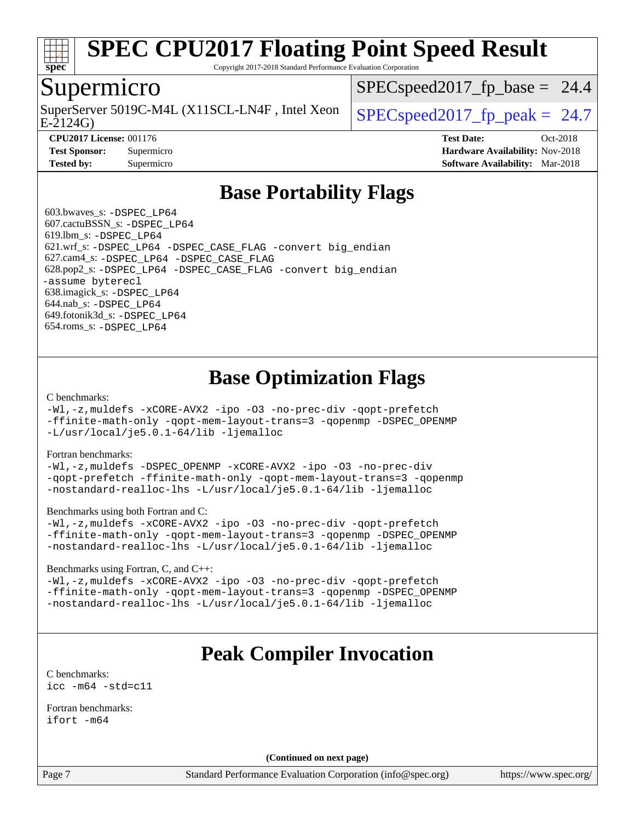

Copyright 2017-2018 Standard Performance Evaluation Corporation

### Supermicro

E-2124G) SuperServer 5019C-M4L (X11SCL-LN4F, Intel Xeon  $\big|$  SPECspeed2017 fp\_peak = 24.7

 $SPECspeed2017<sub>fp</sub> base = 24.4$ 

**[Tested by:](http://www.spec.org/auto/cpu2017/Docs/result-fields.html#Testedby)** Supermicro **[Software Availability:](http://www.spec.org/auto/cpu2017/Docs/result-fields.html#SoftwareAvailability)** Mar-2018

**[CPU2017 License:](http://www.spec.org/auto/cpu2017/Docs/result-fields.html#CPU2017License)** 001176 **[Test Date:](http://www.spec.org/auto/cpu2017/Docs/result-fields.html#TestDate)** Oct-2018 **[Test Sponsor:](http://www.spec.org/auto/cpu2017/Docs/result-fields.html#TestSponsor)** Supermicro **[Hardware Availability:](http://www.spec.org/auto/cpu2017/Docs/result-fields.html#HardwareAvailability)** Nov-2018

# **[Base Portability Flags](http://www.spec.org/auto/cpu2017/Docs/result-fields.html#BasePortabilityFlags)**

 603.bwaves\_s: [-DSPEC\\_LP64](http://www.spec.org/cpu2017/results/res2018q4/cpu2017-20181112-09613.flags.html#suite_basePORTABILITY603_bwaves_s_DSPEC_LP64) 607.cactuBSSN\_s: [-DSPEC\\_LP64](http://www.spec.org/cpu2017/results/res2018q4/cpu2017-20181112-09613.flags.html#suite_basePORTABILITY607_cactuBSSN_s_DSPEC_LP64) 619.lbm\_s: [-DSPEC\\_LP64](http://www.spec.org/cpu2017/results/res2018q4/cpu2017-20181112-09613.flags.html#suite_basePORTABILITY619_lbm_s_DSPEC_LP64) 621.wrf\_s: [-DSPEC\\_LP64](http://www.spec.org/cpu2017/results/res2018q4/cpu2017-20181112-09613.flags.html#suite_basePORTABILITY621_wrf_s_DSPEC_LP64) [-DSPEC\\_CASE\\_FLAG](http://www.spec.org/cpu2017/results/res2018q4/cpu2017-20181112-09613.flags.html#b621.wrf_s_baseCPORTABILITY_DSPEC_CASE_FLAG) [-convert big\\_endian](http://www.spec.org/cpu2017/results/res2018q4/cpu2017-20181112-09613.flags.html#user_baseFPORTABILITY621_wrf_s_convert_big_endian_c3194028bc08c63ac5d04de18c48ce6d347e4e562e8892b8bdbdc0214820426deb8554edfa529a3fb25a586e65a3d812c835984020483e7e73212c4d31a38223) 627.cam4\_s: [-DSPEC\\_LP64](http://www.spec.org/cpu2017/results/res2018q4/cpu2017-20181112-09613.flags.html#suite_basePORTABILITY627_cam4_s_DSPEC_LP64) [-DSPEC\\_CASE\\_FLAG](http://www.spec.org/cpu2017/results/res2018q4/cpu2017-20181112-09613.flags.html#b627.cam4_s_baseCPORTABILITY_DSPEC_CASE_FLAG) 628.pop2\_s: [-DSPEC\\_LP64](http://www.spec.org/cpu2017/results/res2018q4/cpu2017-20181112-09613.flags.html#suite_basePORTABILITY628_pop2_s_DSPEC_LP64) [-DSPEC\\_CASE\\_FLAG](http://www.spec.org/cpu2017/results/res2018q4/cpu2017-20181112-09613.flags.html#b628.pop2_s_baseCPORTABILITY_DSPEC_CASE_FLAG) [-convert big\\_endian](http://www.spec.org/cpu2017/results/res2018q4/cpu2017-20181112-09613.flags.html#user_baseFPORTABILITY628_pop2_s_convert_big_endian_c3194028bc08c63ac5d04de18c48ce6d347e4e562e8892b8bdbdc0214820426deb8554edfa529a3fb25a586e65a3d812c835984020483e7e73212c4d31a38223) [-assume byterecl](http://www.spec.org/cpu2017/results/res2018q4/cpu2017-20181112-09613.flags.html#user_baseFPORTABILITY628_pop2_s_assume_byterecl_7e47d18b9513cf18525430bbf0f2177aa9bf368bc7a059c09b2c06a34b53bd3447c950d3f8d6c70e3faf3a05c8557d66a5798b567902e8849adc142926523472) 638.imagick\_s: [-DSPEC\\_LP64](http://www.spec.org/cpu2017/results/res2018q4/cpu2017-20181112-09613.flags.html#suite_basePORTABILITY638_imagick_s_DSPEC_LP64) 644.nab\_s: [-DSPEC\\_LP64](http://www.spec.org/cpu2017/results/res2018q4/cpu2017-20181112-09613.flags.html#suite_basePORTABILITY644_nab_s_DSPEC_LP64) 649.fotonik3d\_s: [-DSPEC\\_LP64](http://www.spec.org/cpu2017/results/res2018q4/cpu2017-20181112-09613.flags.html#suite_basePORTABILITY649_fotonik3d_s_DSPEC_LP64) 654.roms\_s: [-DSPEC\\_LP64](http://www.spec.org/cpu2017/results/res2018q4/cpu2017-20181112-09613.flags.html#suite_basePORTABILITY654_roms_s_DSPEC_LP64)

# **[Base Optimization Flags](http://www.spec.org/auto/cpu2017/Docs/result-fields.html#BaseOptimizationFlags)**

[C benchmarks](http://www.spec.org/auto/cpu2017/Docs/result-fields.html#Cbenchmarks):

[-Wl,-z,muldefs](http://www.spec.org/cpu2017/results/res2018q4/cpu2017-20181112-09613.flags.html#user_CCbase_link_force_multiple1_b4cbdb97b34bdee9ceefcfe54f4c8ea74255f0b02a4b23e853cdb0e18eb4525ac79b5a88067c842dd0ee6996c24547a27a4b99331201badda8798ef8a743f577) [-xCORE-AVX2](http://www.spec.org/cpu2017/results/res2018q4/cpu2017-20181112-09613.flags.html#user_CCbase_f-xCORE-AVX2) [-ipo](http://www.spec.org/cpu2017/results/res2018q4/cpu2017-20181112-09613.flags.html#user_CCbase_f-ipo) [-O3](http://www.spec.org/cpu2017/results/res2018q4/cpu2017-20181112-09613.flags.html#user_CCbase_f-O3) [-no-prec-div](http://www.spec.org/cpu2017/results/res2018q4/cpu2017-20181112-09613.flags.html#user_CCbase_f-no-prec-div) [-qopt-prefetch](http://www.spec.org/cpu2017/results/res2018q4/cpu2017-20181112-09613.flags.html#user_CCbase_f-qopt-prefetch) [-ffinite-math-only](http://www.spec.org/cpu2017/results/res2018q4/cpu2017-20181112-09613.flags.html#user_CCbase_f_finite_math_only_cb91587bd2077682c4b38af759c288ed7c732db004271a9512da14a4f8007909a5f1427ecbf1a0fb78ff2a814402c6114ac565ca162485bbcae155b5e4258871) [-qopt-mem-layout-trans=3](http://www.spec.org/cpu2017/results/res2018q4/cpu2017-20181112-09613.flags.html#user_CCbase_f-qopt-mem-layout-trans_de80db37974c74b1f0e20d883f0b675c88c3b01e9d123adea9b28688d64333345fb62bc4a798493513fdb68f60282f9a726aa07f478b2f7113531aecce732043) [-qopenmp](http://www.spec.org/cpu2017/results/res2018q4/cpu2017-20181112-09613.flags.html#user_CCbase_qopenmp_16be0c44f24f464004c6784a7acb94aca937f053568ce72f94b139a11c7c168634a55f6653758ddd83bcf7b8463e8028bb0b48b77bcddc6b78d5d95bb1df2967) [-DSPEC\\_OPENMP](http://www.spec.org/cpu2017/results/res2018q4/cpu2017-20181112-09613.flags.html#suite_CCbase_DSPEC_OPENMP) [-L/usr/local/je5.0.1-64/lib](http://www.spec.org/cpu2017/results/res2018q4/cpu2017-20181112-09613.flags.html#user_CCbase_jemalloc_link_path64_4b10a636b7bce113509b17f3bd0d6226c5fb2346b9178c2d0232c14f04ab830f976640479e5c33dc2bcbbdad86ecfb6634cbbd4418746f06f368b512fced5394) [-ljemalloc](http://www.spec.org/cpu2017/results/res2018q4/cpu2017-20181112-09613.flags.html#user_CCbase_jemalloc_link_lib_d1249b907c500fa1c0672f44f562e3d0f79738ae9e3c4a9c376d49f265a04b9c99b167ecedbf6711b3085be911c67ff61f150a17b3472be731631ba4d0471706)

[Fortran benchmarks](http://www.spec.org/auto/cpu2017/Docs/result-fields.html#Fortranbenchmarks):

[-Wl,-z,muldefs](http://www.spec.org/cpu2017/results/res2018q4/cpu2017-20181112-09613.flags.html#user_FCbase_link_force_multiple1_b4cbdb97b34bdee9ceefcfe54f4c8ea74255f0b02a4b23e853cdb0e18eb4525ac79b5a88067c842dd0ee6996c24547a27a4b99331201badda8798ef8a743f577) [-DSPEC\\_OPENMP](http://www.spec.org/cpu2017/results/res2018q4/cpu2017-20181112-09613.flags.html#suite_FCbase_DSPEC_OPENMP) [-xCORE-AVX2](http://www.spec.org/cpu2017/results/res2018q4/cpu2017-20181112-09613.flags.html#user_FCbase_f-xCORE-AVX2) [-ipo](http://www.spec.org/cpu2017/results/res2018q4/cpu2017-20181112-09613.flags.html#user_FCbase_f-ipo) [-O3](http://www.spec.org/cpu2017/results/res2018q4/cpu2017-20181112-09613.flags.html#user_FCbase_f-O3) [-no-prec-div](http://www.spec.org/cpu2017/results/res2018q4/cpu2017-20181112-09613.flags.html#user_FCbase_f-no-prec-div) [-qopt-prefetch](http://www.spec.org/cpu2017/results/res2018q4/cpu2017-20181112-09613.flags.html#user_FCbase_f-qopt-prefetch) [-ffinite-math-only](http://www.spec.org/cpu2017/results/res2018q4/cpu2017-20181112-09613.flags.html#user_FCbase_f_finite_math_only_cb91587bd2077682c4b38af759c288ed7c732db004271a9512da14a4f8007909a5f1427ecbf1a0fb78ff2a814402c6114ac565ca162485bbcae155b5e4258871) [-qopt-mem-layout-trans=3](http://www.spec.org/cpu2017/results/res2018q4/cpu2017-20181112-09613.flags.html#user_FCbase_f-qopt-mem-layout-trans_de80db37974c74b1f0e20d883f0b675c88c3b01e9d123adea9b28688d64333345fb62bc4a798493513fdb68f60282f9a726aa07f478b2f7113531aecce732043) [-qopenmp](http://www.spec.org/cpu2017/results/res2018q4/cpu2017-20181112-09613.flags.html#user_FCbase_qopenmp_16be0c44f24f464004c6784a7acb94aca937f053568ce72f94b139a11c7c168634a55f6653758ddd83bcf7b8463e8028bb0b48b77bcddc6b78d5d95bb1df2967) [-nostandard-realloc-lhs](http://www.spec.org/cpu2017/results/res2018q4/cpu2017-20181112-09613.flags.html#user_FCbase_f_2003_std_realloc_82b4557e90729c0f113870c07e44d33d6f5a304b4f63d4c15d2d0f1fab99f5daaed73bdb9275d9ae411527f28b936061aa8b9c8f2d63842963b95c9dd6426b8a) [-L/usr/local/je5.0.1-64/lib](http://www.spec.org/cpu2017/results/res2018q4/cpu2017-20181112-09613.flags.html#user_FCbase_jemalloc_link_path64_4b10a636b7bce113509b17f3bd0d6226c5fb2346b9178c2d0232c14f04ab830f976640479e5c33dc2bcbbdad86ecfb6634cbbd4418746f06f368b512fced5394) [-ljemalloc](http://www.spec.org/cpu2017/results/res2018q4/cpu2017-20181112-09613.flags.html#user_FCbase_jemalloc_link_lib_d1249b907c500fa1c0672f44f562e3d0f79738ae9e3c4a9c376d49f265a04b9c99b167ecedbf6711b3085be911c67ff61f150a17b3472be731631ba4d0471706)

[Benchmarks using both Fortran and C](http://www.spec.org/auto/cpu2017/Docs/result-fields.html#BenchmarksusingbothFortranandC):

[-Wl,-z,muldefs](http://www.spec.org/cpu2017/results/res2018q4/cpu2017-20181112-09613.flags.html#user_CC_FCbase_link_force_multiple1_b4cbdb97b34bdee9ceefcfe54f4c8ea74255f0b02a4b23e853cdb0e18eb4525ac79b5a88067c842dd0ee6996c24547a27a4b99331201badda8798ef8a743f577) [-xCORE-AVX2](http://www.spec.org/cpu2017/results/res2018q4/cpu2017-20181112-09613.flags.html#user_CC_FCbase_f-xCORE-AVX2) [-ipo](http://www.spec.org/cpu2017/results/res2018q4/cpu2017-20181112-09613.flags.html#user_CC_FCbase_f-ipo) [-O3](http://www.spec.org/cpu2017/results/res2018q4/cpu2017-20181112-09613.flags.html#user_CC_FCbase_f-O3) [-no-prec-div](http://www.spec.org/cpu2017/results/res2018q4/cpu2017-20181112-09613.flags.html#user_CC_FCbase_f-no-prec-div) [-qopt-prefetch](http://www.spec.org/cpu2017/results/res2018q4/cpu2017-20181112-09613.flags.html#user_CC_FCbase_f-qopt-prefetch) [-ffinite-math-only](http://www.spec.org/cpu2017/results/res2018q4/cpu2017-20181112-09613.flags.html#user_CC_FCbase_f_finite_math_only_cb91587bd2077682c4b38af759c288ed7c732db004271a9512da14a4f8007909a5f1427ecbf1a0fb78ff2a814402c6114ac565ca162485bbcae155b5e4258871) [-qopt-mem-layout-trans=3](http://www.spec.org/cpu2017/results/res2018q4/cpu2017-20181112-09613.flags.html#user_CC_FCbase_f-qopt-mem-layout-trans_de80db37974c74b1f0e20d883f0b675c88c3b01e9d123adea9b28688d64333345fb62bc4a798493513fdb68f60282f9a726aa07f478b2f7113531aecce732043) [-qopenmp](http://www.spec.org/cpu2017/results/res2018q4/cpu2017-20181112-09613.flags.html#user_CC_FCbase_qopenmp_16be0c44f24f464004c6784a7acb94aca937f053568ce72f94b139a11c7c168634a55f6653758ddd83bcf7b8463e8028bb0b48b77bcddc6b78d5d95bb1df2967) [-DSPEC\\_OPENMP](http://www.spec.org/cpu2017/results/res2018q4/cpu2017-20181112-09613.flags.html#suite_CC_FCbase_DSPEC_OPENMP) [-nostandard-realloc-lhs](http://www.spec.org/cpu2017/results/res2018q4/cpu2017-20181112-09613.flags.html#user_CC_FCbase_f_2003_std_realloc_82b4557e90729c0f113870c07e44d33d6f5a304b4f63d4c15d2d0f1fab99f5daaed73bdb9275d9ae411527f28b936061aa8b9c8f2d63842963b95c9dd6426b8a) [-L/usr/local/je5.0.1-64/lib](http://www.spec.org/cpu2017/results/res2018q4/cpu2017-20181112-09613.flags.html#user_CC_FCbase_jemalloc_link_path64_4b10a636b7bce113509b17f3bd0d6226c5fb2346b9178c2d0232c14f04ab830f976640479e5c33dc2bcbbdad86ecfb6634cbbd4418746f06f368b512fced5394) [-ljemalloc](http://www.spec.org/cpu2017/results/res2018q4/cpu2017-20181112-09613.flags.html#user_CC_FCbase_jemalloc_link_lib_d1249b907c500fa1c0672f44f562e3d0f79738ae9e3c4a9c376d49f265a04b9c99b167ecedbf6711b3085be911c67ff61f150a17b3472be731631ba4d0471706)

#### [Benchmarks using Fortran, C, and C++:](http://www.spec.org/auto/cpu2017/Docs/result-fields.html#BenchmarksusingFortranCandCXX)

[-Wl,-z,muldefs](http://www.spec.org/cpu2017/results/res2018q4/cpu2017-20181112-09613.flags.html#user_CC_CXX_FCbase_link_force_multiple1_b4cbdb97b34bdee9ceefcfe54f4c8ea74255f0b02a4b23e853cdb0e18eb4525ac79b5a88067c842dd0ee6996c24547a27a4b99331201badda8798ef8a743f577) [-xCORE-AVX2](http://www.spec.org/cpu2017/results/res2018q4/cpu2017-20181112-09613.flags.html#user_CC_CXX_FCbase_f-xCORE-AVX2) [-ipo](http://www.spec.org/cpu2017/results/res2018q4/cpu2017-20181112-09613.flags.html#user_CC_CXX_FCbase_f-ipo) [-O3](http://www.spec.org/cpu2017/results/res2018q4/cpu2017-20181112-09613.flags.html#user_CC_CXX_FCbase_f-O3) [-no-prec-div](http://www.spec.org/cpu2017/results/res2018q4/cpu2017-20181112-09613.flags.html#user_CC_CXX_FCbase_f-no-prec-div) [-qopt-prefetch](http://www.spec.org/cpu2017/results/res2018q4/cpu2017-20181112-09613.flags.html#user_CC_CXX_FCbase_f-qopt-prefetch) [-ffinite-math-only](http://www.spec.org/cpu2017/results/res2018q4/cpu2017-20181112-09613.flags.html#user_CC_CXX_FCbase_f_finite_math_only_cb91587bd2077682c4b38af759c288ed7c732db004271a9512da14a4f8007909a5f1427ecbf1a0fb78ff2a814402c6114ac565ca162485bbcae155b5e4258871) [-qopt-mem-layout-trans=3](http://www.spec.org/cpu2017/results/res2018q4/cpu2017-20181112-09613.flags.html#user_CC_CXX_FCbase_f-qopt-mem-layout-trans_de80db37974c74b1f0e20d883f0b675c88c3b01e9d123adea9b28688d64333345fb62bc4a798493513fdb68f60282f9a726aa07f478b2f7113531aecce732043) [-qopenmp](http://www.spec.org/cpu2017/results/res2018q4/cpu2017-20181112-09613.flags.html#user_CC_CXX_FCbase_qopenmp_16be0c44f24f464004c6784a7acb94aca937f053568ce72f94b139a11c7c168634a55f6653758ddd83bcf7b8463e8028bb0b48b77bcddc6b78d5d95bb1df2967) [-DSPEC\\_OPENMP](http://www.spec.org/cpu2017/results/res2018q4/cpu2017-20181112-09613.flags.html#suite_CC_CXX_FCbase_DSPEC_OPENMP) [-nostandard-realloc-lhs](http://www.spec.org/cpu2017/results/res2018q4/cpu2017-20181112-09613.flags.html#user_CC_CXX_FCbase_f_2003_std_realloc_82b4557e90729c0f113870c07e44d33d6f5a304b4f63d4c15d2d0f1fab99f5daaed73bdb9275d9ae411527f28b936061aa8b9c8f2d63842963b95c9dd6426b8a) [-L/usr/local/je5.0.1-64/lib](http://www.spec.org/cpu2017/results/res2018q4/cpu2017-20181112-09613.flags.html#user_CC_CXX_FCbase_jemalloc_link_path64_4b10a636b7bce113509b17f3bd0d6226c5fb2346b9178c2d0232c14f04ab830f976640479e5c33dc2bcbbdad86ecfb6634cbbd4418746f06f368b512fced5394) [-ljemalloc](http://www.spec.org/cpu2017/results/res2018q4/cpu2017-20181112-09613.flags.html#user_CC_CXX_FCbase_jemalloc_link_lib_d1249b907c500fa1c0672f44f562e3d0f79738ae9e3c4a9c376d49f265a04b9c99b167ecedbf6711b3085be911c67ff61f150a17b3472be731631ba4d0471706)

# **[Peak Compiler Invocation](http://www.spec.org/auto/cpu2017/Docs/result-fields.html#PeakCompilerInvocation)**

[C benchmarks](http://www.spec.org/auto/cpu2017/Docs/result-fields.html#Cbenchmarks): [icc -m64 -std=c11](http://www.spec.org/cpu2017/results/res2018q4/cpu2017-20181112-09613.flags.html#user_CCpeak_intel_icc_64bit_c11_33ee0cdaae7deeeab2a9725423ba97205ce30f63b9926c2519791662299b76a0318f32ddfffdc46587804de3178b4f9328c46fa7c2b0cd779d7a61945c91cd35)

[Fortran benchmarks](http://www.spec.org/auto/cpu2017/Docs/result-fields.html#Fortranbenchmarks): [ifort -m64](http://www.spec.org/cpu2017/results/res2018q4/cpu2017-20181112-09613.flags.html#user_FCpeak_intel_ifort_64bit_24f2bb282fbaeffd6157abe4f878425411749daecae9a33200eee2bee2fe76f3b89351d69a8130dd5949958ce389cf37ff59a95e7a40d588e8d3a57e0c3fd751)

**(Continued on next page)**

Page 7 Standard Performance Evaluation Corporation [\(info@spec.org\)](mailto:info@spec.org) <https://www.spec.org/>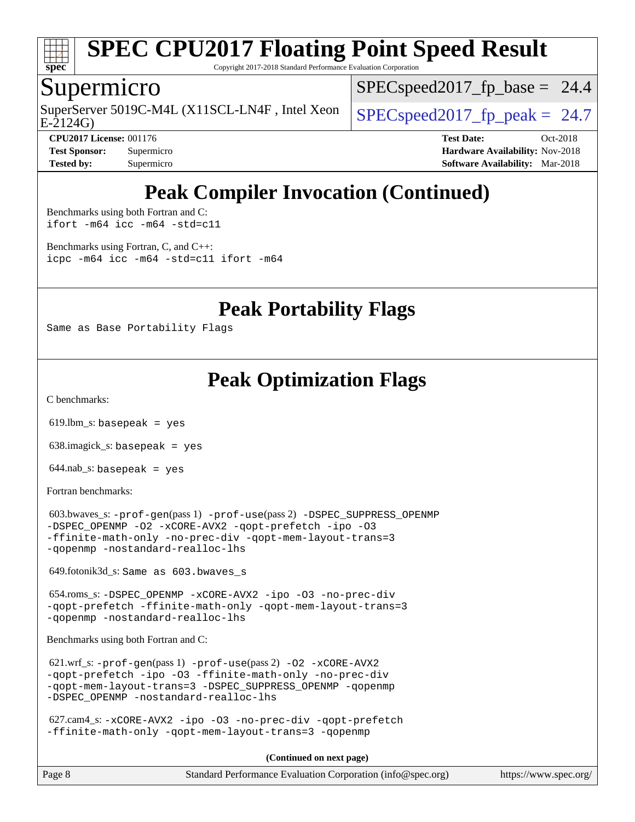

Copyright 2017-2018 Standard Performance Evaluation Corporation

## Supermicro

E-2124G) SuperServer 5019C-M4L (X11SCL-LN4F, Intel Xeon  $\big|$  SPECspeed2017 fp\_peak = 24.7

 $SPECspeed2017<sub>fp</sub> base = 24.4$ 

**[CPU2017 License:](http://www.spec.org/auto/cpu2017/Docs/result-fields.html#CPU2017License)** 001176 **[Test Date:](http://www.spec.org/auto/cpu2017/Docs/result-fields.html#TestDate)** Oct-2018 **[Test Sponsor:](http://www.spec.org/auto/cpu2017/Docs/result-fields.html#TestSponsor)** Supermicro **[Hardware Availability:](http://www.spec.org/auto/cpu2017/Docs/result-fields.html#HardwareAvailability)** Nov-2018 **[Tested by:](http://www.spec.org/auto/cpu2017/Docs/result-fields.html#Testedby)** Supermicro **[Software Availability:](http://www.spec.org/auto/cpu2017/Docs/result-fields.html#SoftwareAvailability)** Mar-2018

# **[Peak Compiler Invocation \(Continued\)](http://www.spec.org/auto/cpu2017/Docs/result-fields.html#PeakCompilerInvocation)**

[Benchmarks using both Fortran and C](http://www.spec.org/auto/cpu2017/Docs/result-fields.html#BenchmarksusingbothFortranandC): [ifort -m64](http://www.spec.org/cpu2017/results/res2018q4/cpu2017-20181112-09613.flags.html#user_CC_FCpeak_intel_ifort_64bit_24f2bb282fbaeffd6157abe4f878425411749daecae9a33200eee2bee2fe76f3b89351d69a8130dd5949958ce389cf37ff59a95e7a40d588e8d3a57e0c3fd751) [icc -m64 -std=c11](http://www.spec.org/cpu2017/results/res2018q4/cpu2017-20181112-09613.flags.html#user_CC_FCpeak_intel_icc_64bit_c11_33ee0cdaae7deeeab2a9725423ba97205ce30f63b9926c2519791662299b76a0318f32ddfffdc46587804de3178b4f9328c46fa7c2b0cd779d7a61945c91cd35)

[Benchmarks using Fortran, C, and C++:](http://www.spec.org/auto/cpu2017/Docs/result-fields.html#BenchmarksusingFortranCandCXX) [icpc -m64](http://www.spec.org/cpu2017/results/res2018q4/cpu2017-20181112-09613.flags.html#user_CC_CXX_FCpeak_intel_icpc_64bit_4ecb2543ae3f1412ef961e0650ca070fec7b7afdcd6ed48761b84423119d1bf6bdf5cad15b44d48e7256388bc77273b966e5eb805aefd121eb22e9299b2ec9d9) [icc -m64 -std=c11](http://www.spec.org/cpu2017/results/res2018q4/cpu2017-20181112-09613.flags.html#user_CC_CXX_FCpeak_intel_icc_64bit_c11_33ee0cdaae7deeeab2a9725423ba97205ce30f63b9926c2519791662299b76a0318f32ddfffdc46587804de3178b4f9328c46fa7c2b0cd779d7a61945c91cd35) [ifort -m64](http://www.spec.org/cpu2017/results/res2018q4/cpu2017-20181112-09613.flags.html#user_CC_CXX_FCpeak_intel_ifort_64bit_24f2bb282fbaeffd6157abe4f878425411749daecae9a33200eee2bee2fe76f3b89351d69a8130dd5949958ce389cf37ff59a95e7a40d588e8d3a57e0c3fd751)

**[Peak Portability Flags](http://www.spec.org/auto/cpu2017/Docs/result-fields.html#PeakPortabilityFlags)**

Same as Base Portability Flags

# **[Peak Optimization Flags](http://www.spec.org/auto/cpu2017/Docs/result-fields.html#PeakOptimizationFlags)**

[C benchmarks](http://www.spec.org/auto/cpu2017/Docs/result-fields.html#Cbenchmarks):

 $619.$ lbm\_s: basepeak = yes

638.imagick\_s: basepeak = yes

 $644.nab$ <sub>s</sub>: basepeak = yes

[Fortran benchmarks](http://www.spec.org/auto/cpu2017/Docs/result-fields.html#Fortranbenchmarks):

```
 603.bwaves_s: -prof-gen(pass 1) -prof-use(pass 2) -DSPEC_SUPPRESS_OPENMP
-DSPEC_OPENMP -O2 -xCORE-AVX2 -qopt-prefetch -ipo -O3
-ffinite-math-only -no-prec-div -qopt-mem-layout-trans=3
-qopenmp -nostandard-realloc-lhs
```
649.fotonik3d\_s: Same as 603.bwaves\_s

 654.roms\_s: [-DSPEC\\_OPENMP](http://www.spec.org/cpu2017/results/res2018q4/cpu2017-20181112-09613.flags.html#suite_peakFOPTIMIZE654_roms_s_DSPEC_OPENMP) [-xCORE-AVX2](http://www.spec.org/cpu2017/results/res2018q4/cpu2017-20181112-09613.flags.html#user_peakFOPTIMIZE654_roms_s_f-xCORE-AVX2) [-ipo](http://www.spec.org/cpu2017/results/res2018q4/cpu2017-20181112-09613.flags.html#user_peakFOPTIMIZE654_roms_s_f-ipo) [-O3](http://www.spec.org/cpu2017/results/res2018q4/cpu2017-20181112-09613.flags.html#user_peakFOPTIMIZE654_roms_s_f-O3) [-no-prec-div](http://www.spec.org/cpu2017/results/res2018q4/cpu2017-20181112-09613.flags.html#user_peakFOPTIMIZE654_roms_s_f-no-prec-div) [-qopt-prefetch](http://www.spec.org/cpu2017/results/res2018q4/cpu2017-20181112-09613.flags.html#user_peakFOPTIMIZE654_roms_s_f-qopt-prefetch) [-ffinite-math-only](http://www.spec.org/cpu2017/results/res2018q4/cpu2017-20181112-09613.flags.html#user_peakFOPTIMIZE654_roms_s_f_finite_math_only_cb91587bd2077682c4b38af759c288ed7c732db004271a9512da14a4f8007909a5f1427ecbf1a0fb78ff2a814402c6114ac565ca162485bbcae155b5e4258871) [-qopt-mem-layout-trans=3](http://www.spec.org/cpu2017/results/res2018q4/cpu2017-20181112-09613.flags.html#user_peakFOPTIMIZE654_roms_s_f-qopt-mem-layout-trans_de80db37974c74b1f0e20d883f0b675c88c3b01e9d123adea9b28688d64333345fb62bc4a798493513fdb68f60282f9a726aa07f478b2f7113531aecce732043) [-qopenmp](http://www.spec.org/cpu2017/results/res2018q4/cpu2017-20181112-09613.flags.html#user_peakFOPTIMIZE654_roms_s_qopenmp_16be0c44f24f464004c6784a7acb94aca937f053568ce72f94b139a11c7c168634a55f6653758ddd83bcf7b8463e8028bb0b48b77bcddc6b78d5d95bb1df2967) [-nostandard-realloc-lhs](http://www.spec.org/cpu2017/results/res2018q4/cpu2017-20181112-09613.flags.html#user_peakEXTRA_FOPTIMIZE654_roms_s_f_2003_std_realloc_82b4557e90729c0f113870c07e44d33d6f5a304b4f63d4c15d2d0f1fab99f5daaed73bdb9275d9ae411527f28b936061aa8b9c8f2d63842963b95c9dd6426b8a)

[Benchmarks using both Fortran and C](http://www.spec.org/auto/cpu2017/Docs/result-fields.html#BenchmarksusingbothFortranandC):

 621.wrf\_s: [-prof-gen](http://www.spec.org/cpu2017/results/res2018q4/cpu2017-20181112-09613.flags.html#user_peakPASS1_CFLAGSPASS1_FFLAGSPASS1_LDFLAGS621_wrf_s_prof_gen_5aa4926d6013ddb2a31985c654b3eb18169fc0c6952a63635c234f711e6e63dd76e94ad52365559451ec499a2cdb89e4dc58ba4c67ef54ca681ffbe1461d6b36)(pass 1) [-prof-use](http://www.spec.org/cpu2017/results/res2018q4/cpu2017-20181112-09613.flags.html#user_peakPASS2_CFLAGSPASS2_FFLAGSPASS2_LDFLAGS621_wrf_s_prof_use_1a21ceae95f36a2b53c25747139a6c16ca95bd9def2a207b4f0849963b97e94f5260e30a0c64f4bb623698870e679ca08317ef8150905d41bd88c6f78df73f19)(pass 2) [-O2](http://www.spec.org/cpu2017/results/res2018q4/cpu2017-20181112-09613.flags.html#user_peakPASS1_COPTIMIZEPASS1_FOPTIMIZE621_wrf_s_f-O2) [-xCORE-AVX2](http://www.spec.org/cpu2017/results/res2018q4/cpu2017-20181112-09613.flags.html#user_peakPASS2_COPTIMIZEPASS2_FOPTIMIZE621_wrf_s_f-xCORE-AVX2) [-qopt-prefetch](http://www.spec.org/cpu2017/results/res2018q4/cpu2017-20181112-09613.flags.html#user_peakPASS1_COPTIMIZEPASS1_FOPTIMIZEPASS2_COPTIMIZEPASS2_FOPTIMIZE621_wrf_s_f-qopt-prefetch) [-ipo](http://www.spec.org/cpu2017/results/res2018q4/cpu2017-20181112-09613.flags.html#user_peakPASS2_COPTIMIZEPASS2_FOPTIMIZE621_wrf_s_f-ipo) [-O3](http://www.spec.org/cpu2017/results/res2018q4/cpu2017-20181112-09613.flags.html#user_peakPASS2_COPTIMIZEPASS2_FOPTIMIZE621_wrf_s_f-O3) [-ffinite-math-only](http://www.spec.org/cpu2017/results/res2018q4/cpu2017-20181112-09613.flags.html#user_peakPASS1_COPTIMIZEPASS1_FOPTIMIZEPASS2_COPTIMIZEPASS2_FOPTIMIZE621_wrf_s_f_finite_math_only_cb91587bd2077682c4b38af759c288ed7c732db004271a9512da14a4f8007909a5f1427ecbf1a0fb78ff2a814402c6114ac565ca162485bbcae155b5e4258871) [-no-prec-div](http://www.spec.org/cpu2017/results/res2018q4/cpu2017-20181112-09613.flags.html#user_peakPASS2_COPTIMIZEPASS2_FOPTIMIZE621_wrf_s_f-no-prec-div) [-qopt-mem-layout-trans=3](http://www.spec.org/cpu2017/results/res2018q4/cpu2017-20181112-09613.flags.html#user_peakPASS1_COPTIMIZEPASS1_FOPTIMIZEPASS2_COPTIMIZEPASS2_FOPTIMIZE621_wrf_s_f-qopt-mem-layout-trans_de80db37974c74b1f0e20d883f0b675c88c3b01e9d123adea9b28688d64333345fb62bc4a798493513fdb68f60282f9a726aa07f478b2f7113531aecce732043) [-DSPEC\\_SUPPRESS\\_OPENMP](http://www.spec.org/cpu2017/results/res2018q4/cpu2017-20181112-09613.flags.html#suite_peakPASS1_COPTIMIZEPASS1_FOPTIMIZE621_wrf_s_DSPEC_SUPPRESS_OPENMP) [-qopenmp](http://www.spec.org/cpu2017/results/res2018q4/cpu2017-20181112-09613.flags.html#user_peakPASS2_COPTIMIZEPASS2_FOPTIMIZE621_wrf_s_qopenmp_16be0c44f24f464004c6784a7acb94aca937f053568ce72f94b139a11c7c168634a55f6653758ddd83bcf7b8463e8028bb0b48b77bcddc6b78d5d95bb1df2967) [-DSPEC\\_OPENMP](http://www.spec.org/cpu2017/results/res2018q4/cpu2017-20181112-09613.flags.html#suite_peakPASS2_COPTIMIZEPASS2_FOPTIMIZE621_wrf_s_DSPEC_OPENMP) [-nostandard-realloc-lhs](http://www.spec.org/cpu2017/results/res2018q4/cpu2017-20181112-09613.flags.html#user_peakEXTRA_FOPTIMIZE621_wrf_s_f_2003_std_realloc_82b4557e90729c0f113870c07e44d33d6f5a304b4f63d4c15d2d0f1fab99f5daaed73bdb9275d9ae411527f28b936061aa8b9c8f2d63842963b95c9dd6426b8a)

 627.cam4\_s: [-xCORE-AVX2](http://www.spec.org/cpu2017/results/res2018q4/cpu2017-20181112-09613.flags.html#user_peakCOPTIMIZEFOPTIMIZE627_cam4_s_f-xCORE-AVX2) [-ipo](http://www.spec.org/cpu2017/results/res2018q4/cpu2017-20181112-09613.flags.html#user_peakCOPTIMIZEFOPTIMIZE627_cam4_s_f-ipo) [-O3](http://www.spec.org/cpu2017/results/res2018q4/cpu2017-20181112-09613.flags.html#user_peakCOPTIMIZEFOPTIMIZE627_cam4_s_f-O3) [-no-prec-div](http://www.spec.org/cpu2017/results/res2018q4/cpu2017-20181112-09613.flags.html#user_peakCOPTIMIZEFOPTIMIZE627_cam4_s_f-no-prec-div) [-qopt-prefetch](http://www.spec.org/cpu2017/results/res2018q4/cpu2017-20181112-09613.flags.html#user_peakCOPTIMIZEFOPTIMIZE627_cam4_s_f-qopt-prefetch) [-ffinite-math-only](http://www.spec.org/cpu2017/results/res2018q4/cpu2017-20181112-09613.flags.html#user_peakCOPTIMIZEFOPTIMIZE627_cam4_s_f_finite_math_only_cb91587bd2077682c4b38af759c288ed7c732db004271a9512da14a4f8007909a5f1427ecbf1a0fb78ff2a814402c6114ac565ca162485bbcae155b5e4258871) [-qopt-mem-layout-trans=3](http://www.spec.org/cpu2017/results/res2018q4/cpu2017-20181112-09613.flags.html#user_peakCOPTIMIZEFOPTIMIZE627_cam4_s_f-qopt-mem-layout-trans_de80db37974c74b1f0e20d883f0b675c88c3b01e9d123adea9b28688d64333345fb62bc4a798493513fdb68f60282f9a726aa07f478b2f7113531aecce732043) [-qopenmp](http://www.spec.org/cpu2017/results/res2018q4/cpu2017-20181112-09613.flags.html#user_peakCOPTIMIZEFOPTIMIZE627_cam4_s_qopenmp_16be0c44f24f464004c6784a7acb94aca937f053568ce72f94b139a11c7c168634a55f6653758ddd83bcf7b8463e8028bb0b48b77bcddc6b78d5d95bb1df2967)

**(Continued on next page)**

| Page 8 | Standard Performance Evaluation Corporation (info@spec.org) | https://www.spec.org/ |
|--------|-------------------------------------------------------------|-----------------------|
|--------|-------------------------------------------------------------|-----------------------|